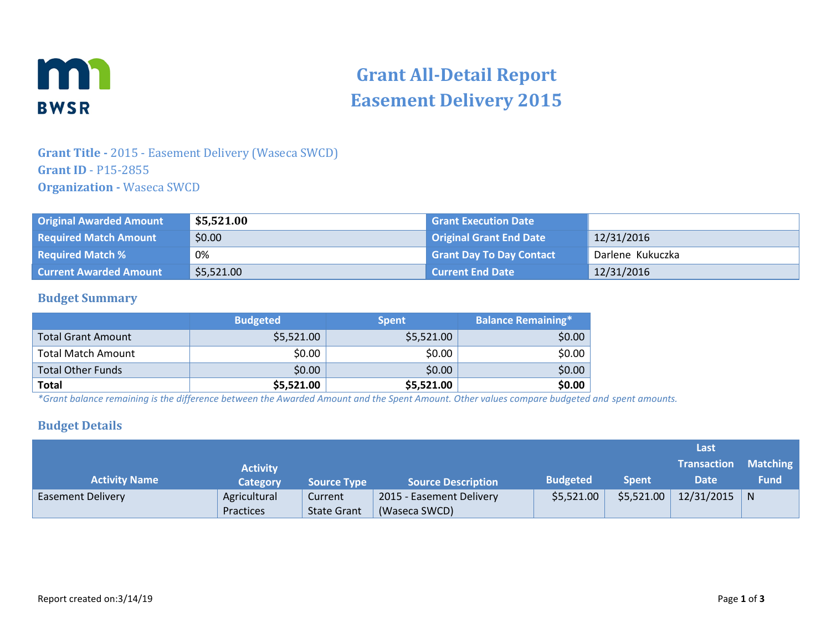

# **Grant All-Detail Report Easement Delivery 2015**

# **Grant Title -** 2015 - Easement Delivery (Waseca SWCD) **Grant ID** - P15-2855 **Organization -** Waseca SWCD

| <b>Original Awarded Amount</b> | \$5,521.00 | <b>Grant Execution Date</b>     |                  |
|--------------------------------|------------|---------------------------------|------------------|
| <b>Required Match Amount</b>   | \$0.00     | Original Grant End Date         | 12/31/2016       |
| <b>Required Match %</b>        | 0%         | <b>Grant Day To Day Contact</b> | Darlene Kukuczka |
| <b>Current Awarded Amount</b>  | \$5,521.00 | <b>Current End Date</b>         | 12/31/2016       |

#### **Budget Summary**

|                           | <b>Budgeted</b> | <b>Spent</b> | <b>Balance Remaining*</b> |
|---------------------------|-----------------|--------------|---------------------------|
| <b>Total Grant Amount</b> | \$5,521.00      | \$5,521.00   | \$0.00                    |
| <b>Total Match Amount</b> | \$0.00          | \$0.00       | \$0.00                    |
| <b>Total Other Funds</b>  | \$0.00          | \$0.00       | \$0.00                    |
| <b>Total</b>              | \$5,521.00      | \$5,521.00   | \$0.00                    |

*\*Grant balance remaining is the difference between the Awarded Amount and the Spent Amount. Other values compare budgeted and spent amounts.*

#### **Budget Details**

|                          |                 |                    |                           |                 |              | Last               |             |
|--------------------------|-----------------|--------------------|---------------------------|-----------------|--------------|--------------------|-------------|
|                          | <b>Activity</b> |                    |                           |                 |              | <b>Transaction</b> | Matching    |
| <b>Activity Name</b>     | <b>Category</b> | <b>Source Type</b> | <b>Source Description</b> | <b>Budgeted</b> | <b>Spent</b> | <b>Date</b>        | <b>Fund</b> |
| <b>Easement Delivery</b> | Agricultural    | Current            | 2015 - Easement Delivery  | \$5,521.00      | \$5,521.00   | $12/31/2015$ N     |             |
|                          | Practices       | <b>State Grant</b> | (Waseca SWCD)             |                 |              |                    |             |